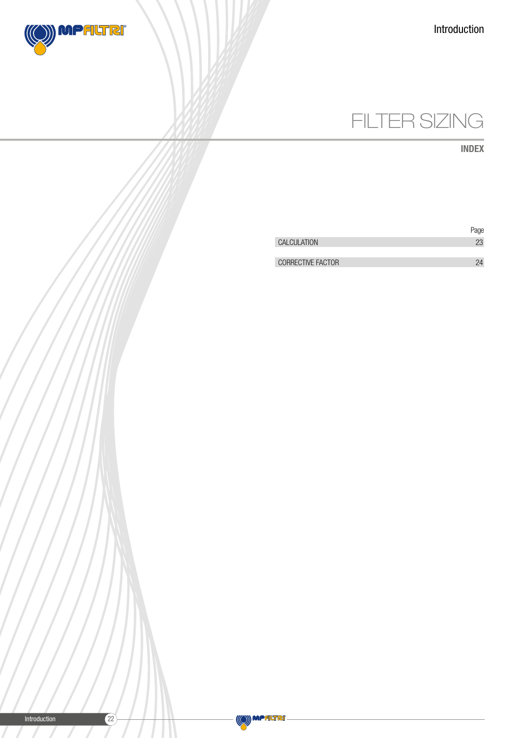



INDEX

|                          | Page |
|--------------------------|------|
| CALCULATION              | 23   |
|                          |      |
| <b>CORRECTIVE FACTOR</b> |      |
|                          |      |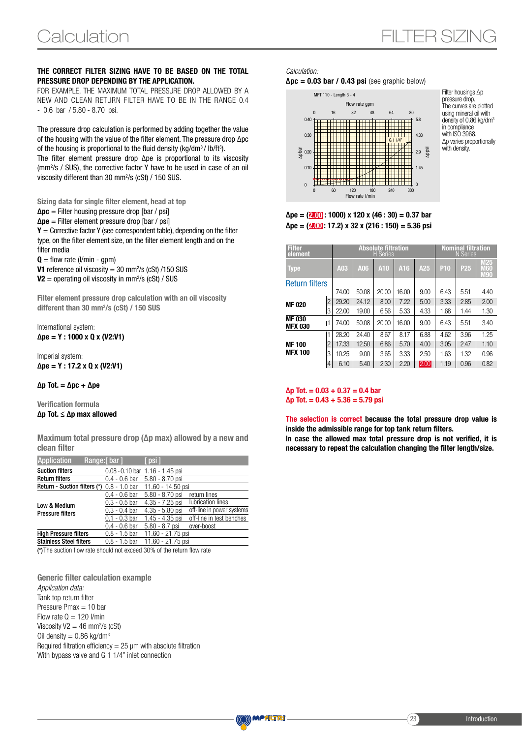### THE CORRECT FILTER SIZING HAVE TO BE BASED ON THE TOTAL PRESSURE DROP DEPENDING BY THE APPLICATION.

FOR EXAMPLE, THE MAXIMUM TOTAL PRESSURE DROP ALLOWED BY A NEW AND CLEAN RETURN FILTER HAVE TO BE IN THE RANGE 0.4 - 0.6 bar / 5.80 - 8.70 psi.

The pressure drop calculation is performed by adding together the value of the housing with the value of the filter element. The pressure drop ∆pc of the housing is proportional to the fluid density (kg/dm $3/$  lb/ft $3$ ). The filter element pressure drop ∆pe is proportional to its viscosity (mm2 /s / SUS), the corrective factor Y have to be used in case of an oil viscosity different than 30 mm2 /s (cSt) / 150 SUS.

Sizing data for single filter element, head at top  $\Delta$ pc = Filter housing pressure drop [bar / psi]  $\Delta$ pe = Filter element pressure drop [bar / psi]  $Y =$  Corrective factor Y (see correspondent table), depending on the filter type, on the filter element size, on the filter element length and on the filter media

 $\mathbf{Q} =$  flow rate (l/min - gpm)

**V1** reference oil viscosity =  $30 \text{ mm}^2/\text{s}$  (cSt)  $/150 \text{ SUS}$ 

 $V2$  = operating oil viscosity in mm<sup>2</sup>/s (cSt) / SUS

Filter element pressure drop calculation with an oil viscosity different than 30 mm<sup>2</sup>/s (cSt) / 150 SUS

International system:  $\Delta$ pe = Y : 1000 x Q x (V2:V1)

Imperial system:  $\Delta$ pe = Y : 17.2 x Q x (V2:V1)

#### $\Delta p$  Tot. =  $\Delta pc + \Delta pe$

Verification formula ∆p Tot. ≤ ∆p max allowed

Maximum total pressure drop (∆p max) allowed by a new and clean filter

| <b>Application</b>             | Range:[bar]                                         | [ psi ]                             |                           |
|--------------------------------|-----------------------------------------------------|-------------------------------------|---------------------------|
| <b>Suction filters</b>         |                                                     | $0.08 - 0.10$ bar $1.16 - 1.45$ psi |                           |
| <b>Return filters</b>          | $0.4 - 0.6$ bar                                     | 5.80 - 8.70 psi                     |                           |
|                                | <b>Return - Suction filters (*)</b> $0.8 - 1.0$ bar | 11.60 - 14.50 psi                   |                           |
|                                | $0.4 - 0.6$ bar                                     | $5.80 - 8.70$ psi                   | return lines              |
| Low & Medium                   | $0.3 - 0.5$ bar                                     | $4.35 - 7.25$ psi                   | lubrication lines         |
| <b>Pressure filters</b>        | $0.3 - 0.4$ bar                                     | $4.35 - 5.80$ psi                   | off-line in power systems |
|                                | $0.1 - 0.3$ bar                                     | 1.45 - 4.35 psi                     | off-line in test benches  |
|                                | $0.4 - 0.6$ bar                                     | 5.80 - 8.7 psi                      | over-boost                |
| <b>High Pressure filters</b>   | $0.8 - 1.5$ bar                                     | 11.60 - 21.75 psi                   |                           |
| <b>Stainless Steel filters</b> | $0.8 - 1.5$ bar                                     | 11.60 - 21.75 psi                   |                           |

(\*)The suction flow rate should not exceed 30% of the return flow rate

Generic filter calculation example *Application data:* Tank top return filter Pressure Pmax = 10 bar Flow rate  $Q = 120$  l/min Viscosity  $V2 = 46$  mm<sup>2</sup>/s (cSt) Oil density =  $0.86$  kg/dm<sup>3</sup> Required filtration efficiency  $= 25 \mu m$  with absolute filtration With bypass valve and G 1 1/4" inlet connection

*Calculation:*  $\Delta$ pc = 0.03 bar / 0.43 psi (see graphic below)



Filter housings ∆p pressure drop. The curves are plotted using mineral oil with density of 0.86 kg/dm3 in compliance with ISO 3968 ∆p varies proportionally with density.

### $\Delta$ pe = (2.00): 1000) x 120 x (46 : 30) = 0.37 bar  $\Delta$ pe = (2.00 : 17.2) x 32 x (216 : 150) = 5.36 psi

| <b>Filter</b><br>element       |                |       |       | <b>Absolute filtration</b><br><b>H</b> Series | <b>Nominal filtration</b><br>N Series |      |                 |                 |                                        |
|--------------------------------|----------------|-------|-------|-----------------------------------------------|---------------------------------------|------|-----------------|-----------------|----------------------------------------|
| <b>Type</b>                    |                | A03   | A06   | A10                                           | A16                                   | A25  | P <sub>10</sub> | P <sub>25</sub> | <b>M25</b><br><b>M60</b><br><b>M90</b> |
| <b>Return filters</b>          |                |       |       |                                               |                                       |      |                 |                 |                                        |
|                                |                | 74.00 | 50.08 | 20.00                                         | 16.00                                 | 9.00 | 6.43            | 5.51            | 4.40                                   |
| <b>MF020</b>                   | $\overline{2}$ | 29.20 | 24.12 | 8.00                                          | 7.22                                  | 5.00 | 3.33            | 2.85            | 2.00                                   |
|                                | 3              | 22.00 | 19.00 | 6.56                                          | 5.33                                  | 4.33 | 1.68            | 1.44            | 1.30                                   |
| <b>MF030</b><br><b>MFX 030</b> | 1              | 74.00 | 50.08 | 20.00                                         | 16.00                                 | 9.00 | 6.43            | 5.51            | 3.40                                   |
|                                |                | 28.20 | 24.40 | 8.67                                          | 8.17                                  | 6.88 | 4.62            | 3.96            | 1.25                                   |
| <b>MF100</b>                   | 2              | 17.33 | 12.50 | 6.86                                          | 5.70                                  | 4.00 | 3.05            | 2.47            | 1.10                                   |
| <b>MFX 100</b>                 | 3              | 10.25 | 9.00  | 3.65                                          | 3.33                                  | 2.50 | 1.63            | 1.32            | 0.96                                   |
|                                | 4              | 6.10  | 5.40  | 2.30                                          | 2.20                                  | 2.00 | 1.19            | 0.96            | 0.82                                   |

#### $\Delta p$  Tot. = 0.03 + 0.37 = 0.4 bar  $\Delta p$  Tot. = 0.43 + 5.36 = 5.79 psi

The selection is correct because the total pressure drop value is inside the admissible range for top tank return filters. In case the allowed max total pressure drop is not verified, it is necessary to repeat the calculation changing the filter length/size.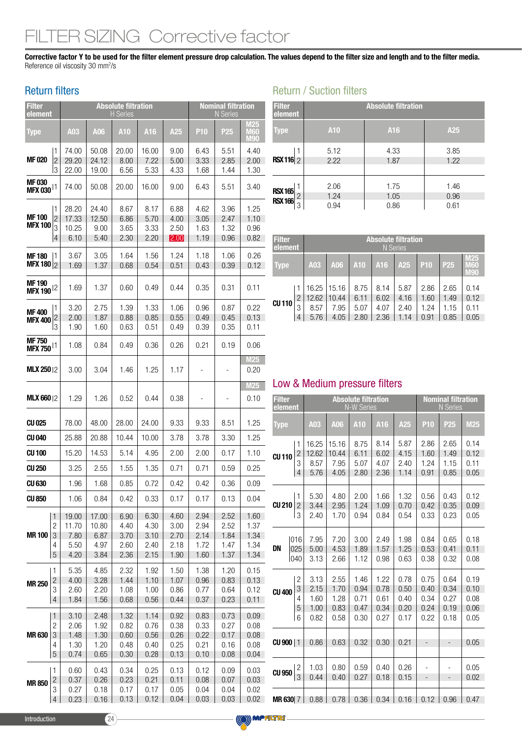# ER SIZING Corrective factor

Corrective factor Y to be used for the filter element pressure drop calculation. The values depend to the filter size and length and to the filter media. Reference oil viscosity 30 mm<sup>2</sup>/s

(O) MPALTRI

## Return filters

| <b>Filter</b><br>element              |                                               |                                        |                                        | <b>Absolute filtration</b><br><b>H</b> Series |                                      |                                      |                                      | <b>Nominal filtration</b><br><b>N</b> Series |                                      |
|---------------------------------------|-----------------------------------------------|----------------------------------------|----------------------------------------|-----------------------------------------------|--------------------------------------|--------------------------------------|--------------------------------------|----------------------------------------------|--------------------------------------|
| Type                                  |                                               | A03                                    | A06                                    | A10                                           | A16                                  | A25                                  | <b>P10</b>                           | P <sub>25</sub>                              | M25<br>M60<br>M90                    |
| MF 020                                | 1<br>$\overline{2}$<br>3                      | 74.00<br>29.20<br>22.00                | 50.08<br>24.12<br>19.00                | 20.00<br>8.00<br>6.56                         | 16.00<br>7.22<br>5.33                | 9.00<br>5.00<br>4.33                 | 6.43<br>3.33<br>1.68                 | 5.51<br>2.85<br>1.44                         | 4.40<br>2.00<br>1.30                 |
| <b>MF030</b><br>MFX 030 <sup>11</sup> |                                               | 74.00                                  | 50.08                                  | 20.00                                         | 16.00                                | 9.00                                 | 6.43                                 | 5.51                                         | 3.40                                 |
| <b>MF100</b><br><b>MFX 100</b>        | 1<br>$\overline{2}$<br>3<br>$\overline{4}$    | 28.20<br>17.33<br>10.25<br>6.10        | 24.40<br>12.50<br>9.00<br>5.40         | 8.67<br>6.86<br>3.65<br>2.30                  | 8.17<br>5.70<br>3.33<br>2.20         | 6.88<br>4.00<br>2.50<br>2.00         | 4.62<br>3.05<br>1.63<br>1.19         | 3.96<br>2.47<br>1.32<br>0.96                 | 1.25<br>1.10<br>0.96<br>0.82         |
| <b>MF180</b><br>MFX 180 $ 2$          | 1                                             | 3.67<br>1.69                           | 3.05<br>1.37                           | 1.64<br>0.68                                  | 1.56<br>0.54                         | 1.24<br>0.51                         | 1.18<br>0.43                         | 1.06<br>0.39                                 | 0.26<br>0.12                         |
| <b>MF190</b><br>MFX 190 <sup>12</sup> |                                               | 1.69                                   | 1.37                                   | 0.60                                          | 0.49                                 | 0.44                                 | 0.35                                 | 0.31                                         | 0.11                                 |
| <b>MF400</b><br><b>MFX 400</b>        | 1<br>$\overline{c}$<br>3                      | 3.20<br>2.00<br>1.90                   | 2.75<br>1.87<br>1.60                   | 1.39<br>0.88<br>0.63                          | 1.33<br>0.85<br>0.51                 | 1.06<br>0.55<br>0.49                 | 0.96<br>0.49<br>0.39                 | 0.87<br>0.45<br>0.35                         | 0.22<br>0.13<br>0.11                 |
| <b>MF750</b><br>MFX 750 <sup>11</sup> |                                               | 1.08                                   | 0.84                                   | 0.49                                          | 0.36                                 | 0.26                                 | 0.21                                 | 0.19                                         | 0.06                                 |
| <b>MLX 25012</b>                      |                                               | 3.00                                   | 3.04                                   | 1.46                                          | 1.25                                 | 1.17                                 |                                      |                                              | <b>M25</b><br>0.20                   |
| <b>MLX 660</b> 12                     |                                               | 1.29                                   | 1.26                                   | 0.52                                          | 0.44                                 | 0.38                                 |                                      |                                              | <b>M25</b><br>0.10                   |
| CU 025                                |                                               | 78.00                                  | 48.00                                  | 28.00                                         | 24.00                                | 9.33                                 | 9.33                                 | 8.51                                         | 1.25                                 |
| CU 040                                |                                               | 25.88                                  | 20.88                                  | 10.44                                         | 10.00                                | 3.78                                 | 3.78                                 | 3.30                                         | 1.25                                 |
| <b>CU100</b>                          |                                               | 15.20                                  | 14.53                                  | 5.14                                          | 4.95                                 | 2.00                                 | 2.00                                 | 0.17                                         | 1.10                                 |
| <b>CU 250</b>                         |                                               | 3.25                                   | 2.55                                   | 1.55                                          | 1.35                                 | 0.71                                 | 0.71                                 | 0.59                                         | 0.25                                 |
| <b>CU 630</b>                         |                                               | 1.96                                   | 1.68                                   | 0.85                                          | 0.72                                 | 0.42                                 | 0.42                                 | 0.36                                         | 0.09                                 |
| <b>CU 850</b>                         |                                               | 1.06                                   | 0.84                                   | 0.42                                          | 0.33                                 | 0.17                                 | 0.17                                 | 0.13                                         | 0.04                                 |
| <b>MR100</b>                          | $\mathbf{1}$<br>$\overline{c}$<br>3<br>4<br>5 | 19.00<br>11.70<br>7.80<br>5.50<br>4.20 | 17.00<br>10.80<br>6.87<br>4.97<br>3.84 | 6.90<br>4.40<br>3.70<br>2.60<br>2.36          | 6.30<br>4.30<br>3.10<br>2.40<br>2.15 | 4.60<br>3.00<br>2.70<br>2.18<br>1.90 | 2.94<br>2.94<br>2.14<br>1.72<br>1.60 | 2.52<br>2.52<br>1.84<br>1.47<br>1.37         | 1.60<br>1.37<br>1.34<br>1.34<br>1.34 |
| <b>MR 250</b>                         | 1<br>$\overline{c}$<br>3<br>$\overline{4}$    | 5.35<br>4.00<br>2.60<br>1.84           | 4.85<br>3.28<br>2.20<br>1.56           | 2.32<br>1.44<br>1.08<br>0.68                  | 1.92<br>1.10<br>1.00<br>0.56         | 1.50<br>1.07<br>0.86<br>0.44         | 1.38<br>0.96<br>0.77<br>0.37         | 1.20<br>0.83<br>0.64<br>0.23                 | 0.15<br>0.13<br>0.12<br>0.11         |
| <b>MR630</b>                          | $\mathbf{1}$<br>$\overline{c}$<br>3<br>4<br>5 | 3.10<br>2.06<br>1.48<br>1.30<br>0.74   | 2.48<br>1.92<br>1.30<br>1.20<br>0.65   | 1.32<br>0.82<br>0.60<br>0.48<br>0.30          | 1.14<br>0.76<br>0.56<br>0.40<br>0.28 | 0.92<br>0.38<br>0.26<br>0.25<br>0.13 | 0.83<br>0.33<br>0.22<br>0.21<br>0.10 | 0.73<br>0.27<br>0.17<br>0.16<br>0.08         | 0.09<br>0.08<br>0.08<br>0.08<br>0.04 |
| <b>MR850</b>                          | 1<br>$\overline{c}$<br>3<br>4                 | 0.60<br>0.37<br>0.27<br>0.23           | 0.43<br>0.26<br>0.18<br>0.16           | 0.34<br>0.23<br>0.17<br>0.13                  | 0.25<br>0.21<br>0.17<br>0.12         | 0.13<br>0.11<br>0.05<br>0.04         | 0.12<br>0.08<br>0.04<br>0.03         | 0.09<br>0.07<br>0.04<br>0.03                 | 0.03<br>0.03<br>0.02<br>0.02         |

# Return / Suction filters

| <b>Filter</b><br>element         |        | <b>Absolute filtration</b> |                      |                      |  |  |  |  |
|----------------------------------|--------|----------------------------|----------------------|----------------------|--|--|--|--|
| <b>Type</b>                      |        | <b>A10</b>                 | A16                  | A25                  |  |  |  |  |
| <b>RSX116</b> 2                  | 1      | 5.12<br>2.22               | 4.33<br>1.87         | 3.85<br>1.22         |  |  |  |  |
| <b>RSX 165</b><br><b>RSX 166</b> | 2<br>3 | 2.06<br>1.24<br>0.94       | 1.75<br>1.05<br>0.86 | 1.46<br>0.96<br>0.61 |  |  |  |  |

| <b>Filter</b><br>element |                | <b>Absolute filtration</b><br><b>N</b> Series                                            |       |      |      |      |      |      |                                 |
|--------------------------|----------------|------------------------------------------------------------------------------------------|-------|------|------|------|------|------|---------------------------------|
| <b>Type</b>              |                | <b>P10</b><br>A03<br>A16<br>P <sub>25</sub><br>A <sub>10</sub><br>A <sub>25</sub><br>A06 |       |      |      |      |      |      | M25<br>$\sqrt{5}$<br><b>M90</b> |
|                          |                | 16.25                                                                                    | 15.16 | 8.75 | 8.14 | 5.87 | 2.86 | 2.65 | 0.14                            |
|                          | $\overline{2}$ | 12.62                                                                                    | 10.44 | 6.11 | 6.02 | 4.16 | 1.60 | 1.49 | 0.12                            |
| <b>CU110</b>             | 3              | 8.57                                                                                     | 7.95  | 5.07 | 4.07 | 2.40 | 1.24 | 1.15 | 0.11                            |
|                          | $\overline{4}$ | 5.76                                                                                     | 4.05  | 2.80 | 2.36 | 1.14 | 0.91 | 0.85 | 0.05                            |

# Low & Medium pressure filters

| <b>Filter</b><br>element          |                |       |       | <b>Absolute filtration</b><br><b>N-W Series</b> |      |      |                          | <b>Nominal filtration</b><br><b>N</b> Series |      |
|-----------------------------------|----------------|-------|-------|-------------------------------------------------|------|------|--------------------------|----------------------------------------------|------|
| <b>Type</b>                       |                | A03   | A06   | A10                                             | A16  | A25  | <b>P10</b>               | P <sub>25</sub>                              | M25  |
|                                   | 1              | 16.25 | 15.16 | 8.75                                            | 8.14 | 5.87 | 2.86                     | 2.65                                         | 0.14 |
| <b>CU110</b>                      | $\overline{2}$ | 12.62 | 10.44 | 6.11                                            | 6.02 | 4.15 | 1.60                     | 1.49                                         | 0.12 |
|                                   | 3              | 8.57  | 7.95  | 5.07                                            | 4.07 | 2.40 | 1.24                     | 1.15                                         | 0.11 |
|                                   | $\overline{4}$ | 5.76  | 4.05  | 2.80                                            | 2.36 | 1.14 | 0.91                     | 0.85                                         | 0.05 |
|                                   | 1              | 5.30  | 4.80  | 2.00                                            | 1.66 | 1.32 | 0.56                     | 0.43                                         | 0.12 |
| <b>CU 210</b>                     | $\overline{c}$ | 3.44  | 2.95  | 1.24                                            | 1.09 | 0.70 | 0.42                     | 0.35                                         | 0.09 |
|                                   | 3              | 2.40  | 1.70  | 0.94                                            | 0.84 | 0.54 | 0.33                     | 0.23                                         | 0.05 |
|                                   | 016            | 7.95  | 7.20  | 3.00                                            | 2.49 | 1.98 | 0.84                     | 0.65                                         | 0.18 |
| DN                                | 025            | 5.00  | 4.53  | 1.89                                            | 1.57 | 1.25 | 0.53                     | 0.41                                         | 0.11 |
|                                   | 040            | 3.13  | 2.66  | 1.12                                            | 0.98 | 0.63 | 0.38                     | 0.32                                         | 0.08 |
|                                   | $\overline{c}$ | 3.13  | 2.55  | 1.46                                            | 1.22 | 0.78 | 0.75                     | 0.64                                         | 0.19 |
| <b>CU 400</b>                     | 3              | 2.15  | 1.70  | 0.94                                            | 0.78 | 0.50 | 0.40                     | 0.34                                         | 0.10 |
|                                   | 4              | 1.60  | 1.28  | 0.71                                            | 0.61 | 0.40 | 0.34                     | 0.27                                         | 0.08 |
|                                   | 5              | 1.00  | 0.83  | 0.47                                            | 0.34 | 0.20 | 0.24                     | 0.19                                         | 0.06 |
|                                   | 6              | 0.82  | 0.58  | 0.30                                            | 0.27 | 0.17 | 0.22                     | 0.18                                         | 0.05 |
| $CU$ 900 $ 1$                     |                | 0.86  | 0.63  | 0.32                                            | 0.30 | 0.21 | -                        | $\qquad \qquad -$                            | 0.05 |
| CU 950 $\left \frac{2}{3}\right $ |                | 1.03  | 0.80  | 0.59                                            | 0.40 | 0.26 | $\overline{a}$           |                                              | 0.05 |
|                                   |                | 0.44  | 0.40  | 0.27                                            | 0.18 | 0.15 | $\overline{\phantom{a}}$ | $\overline{\phantom{m}}$                     | 0.02 |
| <b>MR 630 7</b>                   |                | 0.88  | 0.78  | 0.36                                            | 0.34 | 0.16 | 0.12                     | 0.96                                         | 0.47 |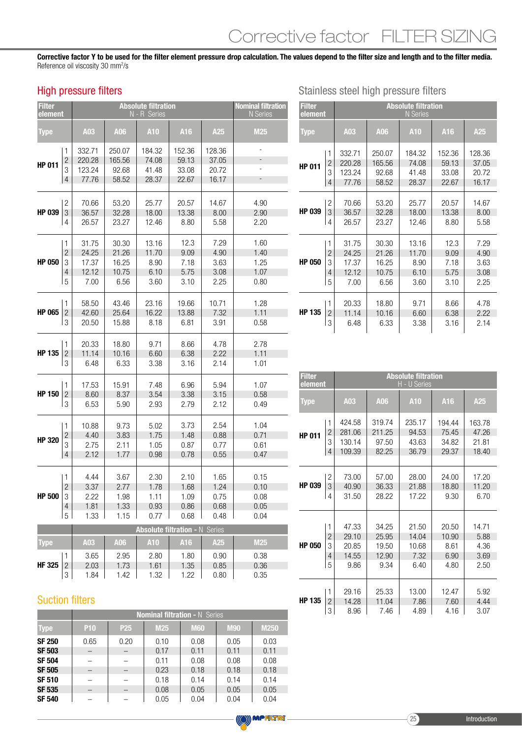Corrective factor Y to be used for the filter element pressure drop calculation. The values depend to the filter size and length and to the filter media. Reference oil viscosity 30 mm<sup>2</sup>/s

## High pressure filters

| <b>Filter</b><br>element |                                            |                                     | <b>Nominal filtration</b><br>N Series |                                              |                                   |                                   |                                |
|--------------------------|--------------------------------------------|-------------------------------------|---------------------------------------|----------------------------------------------|-----------------------------------|-----------------------------------|--------------------------------|
| <b>Type</b>              |                                            | A03                                 | A06                                   | A10                                          | A16                               | A25                               | <b>M25</b>                     |
| <b>HP 011</b>            | 1<br>$\overline{c}$<br>3<br>$\overline{4}$ | 332.71<br>220.28<br>123.24<br>77.76 | 250.07<br>165.56<br>92.68<br>58.52    | 184.32<br>74.08<br>41.48<br>28.37            | 152.36<br>59.13<br>33.08<br>22.67 | 128.36<br>37.05<br>20.72<br>16.17 | $\overline{\phantom{0}}$<br>÷, |
| <b>HP 039</b>            | $\overline{c}$                             | 70.66                               | 53.20                                 | 25.77                                        | 20.57                             | 14.67                             | 4.90                           |
|                          | 3                                          | 36.57                               | 32.28                                 | 18.00                                        | 13.38                             | 8.00                              | 2.90                           |
|                          | 4                                          | 26.57                               | 23.27                                 | 12.46                                        | 8.80                              | 5.58                              | 2.20                           |
| <b>HP 050</b>            | 1                                          | 31.75                               | 30.30                                 | 13.16                                        | 12.3                              | 7.29                              | 1.60                           |
|                          | $\overline{c}$                             | 24.25                               | 21.26                                 | 11.70                                        | 9.09                              | 4.90                              | 1.40                           |
|                          | 3                                          | 17.37                               | 16.25                                 | 8.90                                         | 7.18                              | 3.63                              | 1.25                           |
|                          | $\overline{4}$                             | 12.12                               | 10.75                                 | 6.10                                         | 5.75                              | 3.08                              | 1.07                           |
|                          | 5                                          | 7.00                                | 6.56                                  | 3.60                                         | 3.10                              | 2.25                              | 0.80                           |
| <b>HP 065</b>            | 1                                          | 58.50                               | 43.46                                 | 23.16                                        | 19.66                             | 10.71                             | 1.28                           |
|                          | $\overline{c}$                             | 42.60                               | 25.64                                 | 16.22                                        | 13.88                             | 7.32                              | 1.11                           |
|                          | 3                                          | 20.50                               | 15.88                                 | 8.18                                         | 6.81                              | 3.91                              | 0.58                           |
| <b>HP 135</b>            | 1                                          | 20.33                               | 18.80                                 | 9.71                                         | 8.66                              | 4.78                              | 2.78                           |
|                          | $\overline{c}$                             | 11.14                               | 10.16                                 | 6.60                                         | 6.38                              | 2.22                              | 1.11                           |
|                          | 3                                          | 6.48                                | 6.33                                  | 3.38                                         | 3.16                              | 2.14                              | 1.01                           |
| <b>HP 150</b>            | 1                                          | 17.53                               | 15.91                                 | 7.48                                         | 6.96                              | 5.94                              | 1.07                           |
|                          | $\overline{c}$                             | 8.60                                | 8.37                                  | 3.54                                         | 3.38                              | 3.15                              | 0.58                           |
|                          | 3                                          | 6.53                                | 5.90                                  | 2.93                                         | 2.79                              | 2.12                              | 0.49                           |
| <b>HP 320</b>            | 1                                          | 10.88                               | 9.73                                  | 5.02                                         | 3.73                              | 2.54                              | 1.04                           |
|                          | $\overline{c}$                             | 4.40                                | 3.83                                  | 1.75                                         | 1.48                              | 0.88                              | 0.71                           |
|                          | 3                                          | 2.75                                | 2.11                                  | 1.05                                         | 0.87                              | 0.77                              | 0.61                           |
|                          | $\overline{4}$                             | 2.12                                | 1.77                                  | 0.98                                         | 0.78                              | 0.55                              | 0.47                           |
| <b>HP 500</b>            | 1                                          | 4.44                                | 3.67                                  | 2.30                                         | 2.10                              | 1.65                              | 0.15                           |
|                          | $\overline{c}$                             | 3.37                                | 2.77                                  | 1.78                                         | 1.68                              | 1.24                              | 0.10                           |
|                          | З                                          | 2.22                                | 1.98                                  | 1.11                                         | 1.09                              | 0.75                              | 0.08                           |
|                          | $\overline{4}$                             | 1.81                                | 1.33                                  | 0.93                                         | 0.86                              | 0.68                              | 0.05                           |
|                          | 5                                          | 1.33                                | 1.15                                  | 0.77                                         | 0.68                              | 0.48                              | 0.04                           |
| <b>Type</b>              |                                            | A03                                 | A06                                   | <b>Absolute filtration - N Series</b><br>A10 | A16                               | A25                               | M25                            |
| <b>HF 325</b>            | 1                                          | 3.65                                | 2.95                                  | 2.80                                         | 1.80                              | 0.90                              | 0.38                           |
|                          | $\overline{c}$                             | 2.03                                | 1.73                                  | 1.61                                         | 1.35                              | 0.85                              | 0.36                           |
|                          | 3                                          | 1.84                                | 1.42                                  | 1.32                                         | 1.22                              | 0.80                              | 0.35                           |

| <b>Filter</b><br>element |                | <b>Absolute filtration</b><br>N Series |        |        |        |        |  |  |  |
|--------------------------|----------------|----------------------------------------|--------|--------|--------|--------|--|--|--|
| <b>Type</b>              |                | A03                                    | A06    | A10    | A16    | A25    |  |  |  |
| <b>HP 011</b>            | 1              | 332.71                                 | 250.07 | 184.32 | 152.36 | 128.36 |  |  |  |
|                          | $\overline{2}$ | 220.28                                 | 165.56 | 74.08  | 59.13  | 37.05  |  |  |  |
|                          | 3              | 123.24                                 | 92.68  | 41.48  | 33.08  | 20.72  |  |  |  |
|                          | $\overline{4}$ | 77.76                                  | 58.52  | 28.37  | 22.67  | 16.17  |  |  |  |
| HP 039                   | $\overline{c}$ | 70.66                                  | 53.20  | 25.77  | 20.57  | 14.67  |  |  |  |
|                          | 3              | 36.57                                  | 32.28  | 18.00  | 13.38  | 8.00   |  |  |  |
|                          | 4              | 26.57                                  | 23.27  | 12.46  | 8.80   | 5.58   |  |  |  |
| <b>HP 050</b>            | 1              | 31.75                                  | 30.30  | 13.16  | 12.3   | 7.29   |  |  |  |
|                          | $\overline{2}$ | 24.25                                  | 21.26  | 11.70  | 9.09   | 4.90   |  |  |  |
|                          | 3              | 17.37                                  | 16.25  | 8.90   | 7.18   | 3.63   |  |  |  |
|                          | $\overline{4}$ | 12.12                                  | 10.75  | 6.10   | 5.75   | 3.08   |  |  |  |
|                          | 5              | 7.00                                   | 6.56   | 3.60   | 3.10   | 2.25   |  |  |  |
| HP 135                   | 1              | 20.33                                  | 18.80  | 9.71   | 8.66   | 4.78   |  |  |  |
|                          | $\overline{2}$ | 11.14                                  | 10.16  | 6.60   | 6.38   | 2.22   |  |  |  |
|                          | 3              | 6.48                                   | 6.33   | 3.38   | 3.16   | 2.14   |  |  |  |

| <b>Filter</b><br>element |                |        |        | <b>Absolute filtration</b><br>H - U Series |        |        |
|--------------------------|----------------|--------|--------|--------------------------------------------|--------|--------|
| Type                     |                | A03    | A06    | A10                                        | A16    | A25    |
| <b>HP 011</b>            | 1              | 424.58 | 319.74 | 235.17                                     | 194.44 | 163.78 |
|                          | $\overline{2}$ | 281.06 | 211.25 | 94.53                                      | 75.45  | 47.26  |
|                          | 3              | 130.14 | 97.50  | 43.63                                      | 34.82  | 21.81  |
|                          | 4              | 109.39 | 82.25  | 36.79                                      | 29.37  | 18.40  |
| <b>HP 039</b>            | 2              | 73.00  | 57.00  | 28.00                                      | 24.00  | 17.20  |
|                          | 3              | 40.90  | 36.33  | 21.88                                      | 18.80  | 11.20  |
|                          | 4              | 31.50  | 28.22  | 17.22                                      | 9.30   | 6.70   |
| <b>HP 050</b>            | 1              | 47.33  | 34.25  | 21.50                                      | 20.50  | 14.71  |
|                          | $\overline{2}$ | 29.10  | 25.95  | 14.04                                      | 10.90  | 5.88   |
|                          | 3              | 20.85  | 19.50  | 10.68                                      | 8.61   | 4.36   |
|                          | 4              | 14.55  | 12.90  | 7.32                                       | 6.90   | 3.69   |
|                          | 5              | 9.86   | 9.34   | 6.40                                       | 4.80   | 2.50   |
| <b>HP 135</b>            | 1              | 29.16  | 25.33  | 13.00                                      | 12.47  | 5.92   |
|                          | $\overline{c}$ | 14.28  | 11.04  | 7.86                                       | 7.60   | 4.44   |
|                          | 3              | 8.96   | 7.46   | 4.89                                       | 4.16   | 3.07   |

## Suction filters

|               | <b>Nominal filtration - N Series</b> |                 |                 |            |            |             |  |  |  |
|---------------|--------------------------------------|-----------------|-----------------|------------|------------|-------------|--|--|--|
| <b>Type</b>   | <b>P10</b>                           | P <sub>25</sub> | M <sub>25</sub> | <b>M60</b> | <b>M90</b> | <b>M250</b> |  |  |  |
| <b>SF 250</b> | 0.65                                 | 0.20            | 0.10            | 0.08       | 0.05       | 0.03        |  |  |  |
| <b>SF 503</b> |                                      |                 | 0.17            | 0.11       | 0.11       | 0.11        |  |  |  |
| <b>SF 504</b> |                                      |                 | 0.11            | 0.08       | 0.08       | 0.08        |  |  |  |
| <b>SF 505</b> | —                                    |                 | 0.23            | 0.18       | 0.18       | 0.18        |  |  |  |
| <b>SF 510</b> |                                      |                 | 0.18            | 0.14       | 0.14       | 0.14        |  |  |  |
| <b>SF 535</b> |                                      |                 | 0.08            | 0.05       | 0.05       | 0.05        |  |  |  |
| <b>SF 540</b> |                                      |                 | 0.05            | 0.04       | 0.04       | 0.04        |  |  |  |

(O) MPALTRI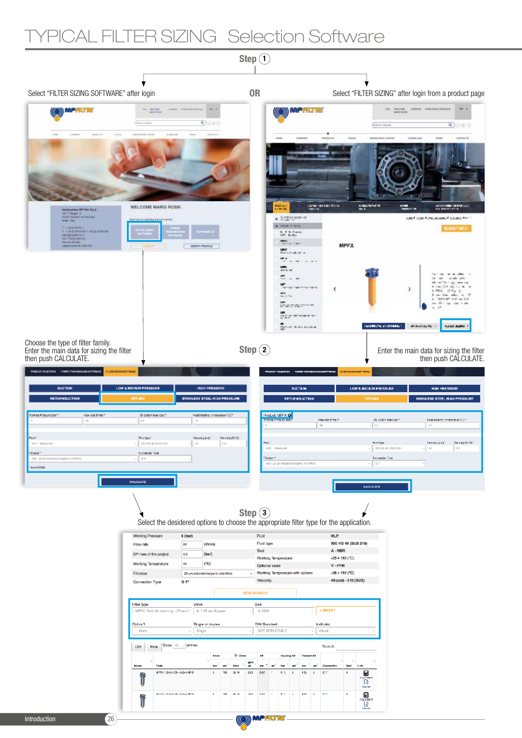# YPICAL FILTER SIZING Selection Software